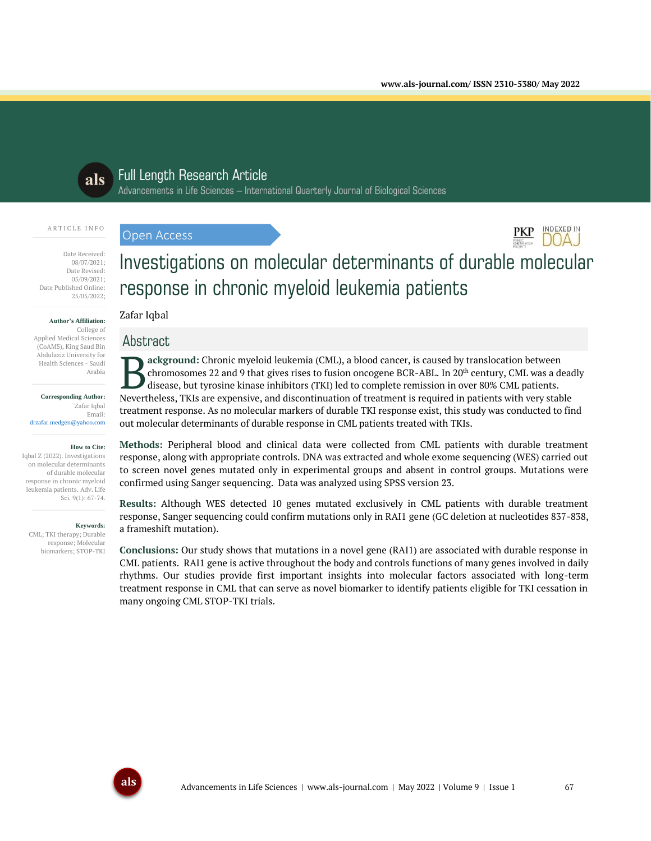**INDEXED IN** 



# Full Length Research Article

Advancements in Life Sciences – International Quarterly Journal of Biological Sciences

#### A R T I C L E I N F O

Date Received: 08/07/2021;

Date Revised: 05/09/2021; Date Published Online: 25/05/2022;

#### **Author's Affiliation:**

College of Applied Medical Sciences (CoAMS), King Saud Bin Abdulaziz University for Health Sciences - Saudi Arabia

**Corresponding Author:** Zafar Iqbal Email: drzafar.medgen@yahoo.com

**How to Cite:** Iqbal Z (2022). Investigations on molecular determinants of durable molecular response in chronic myeloid leukemia patients. Adv. Life Sci. 9(1): 67-74.

#### **Keywords:**

CML; TKI therapy; Durable response; Molecular biomarkers; STOP-TKI

# Investigations on molecular determinants of durable molecular response in chronic myeloid leukemia patients

# Zafar Iqbal

Open Access

# Abstract

**ackground:** Chronic myeloid leukemia (CML), a blood cancer, is caused by translocation between chromosomes 22 and 9 that gives rises to fusion oncogene BCR-ABL. In 20<sup>th</sup> century, CML was a deadly disease, but tyrosine kinase inhibitors (TKI) led to complete remission in over 80% CML patients. Revertheless, TKIs are expensive, and discontinuation of treatment is required in patients with very stable Nevertheless, TKIs are expensive, and discontinuation of treatment is required in patients with very stable  $\mathbb{R$ treatment response. As no molecular markers of durable TKI response exist, this study was conducted to find out molecular determinants of durable response in CML patients treated with TKIs.

**Methods:** Peripheral blood and clinical data were collected from CML patients with durable treatment response, along with appropriate controls. DNA was extracted and whole exome sequencing (WES) carried out to screen novel genes mutated only in experimental groups and absent in control groups. Mutations were confirmed using Sanger sequencing. Data was analyzed using SPSS version 23.

**Results:** Although WES detected 10 genes mutated exclusively in CML patients with durable treatment response, Sanger sequencing could confirm mutations only in RAI1 gene (GC deletion at nucleotides 837-838, a frameshift mutation).

**Conclusions:** Our study shows that mutations in a novel gene (RAI1) are associated with durable response in CML patients. RAI1 gene is active throughout the body and controls functions of many genes involved in daily rhythms. Our studies provide first important insights into molecular factors associated with long-term treatment response in CML that can serve as novel biomarker to identify patients eligible for TKI cessation in many ongoing CML STOP-TKI trials.

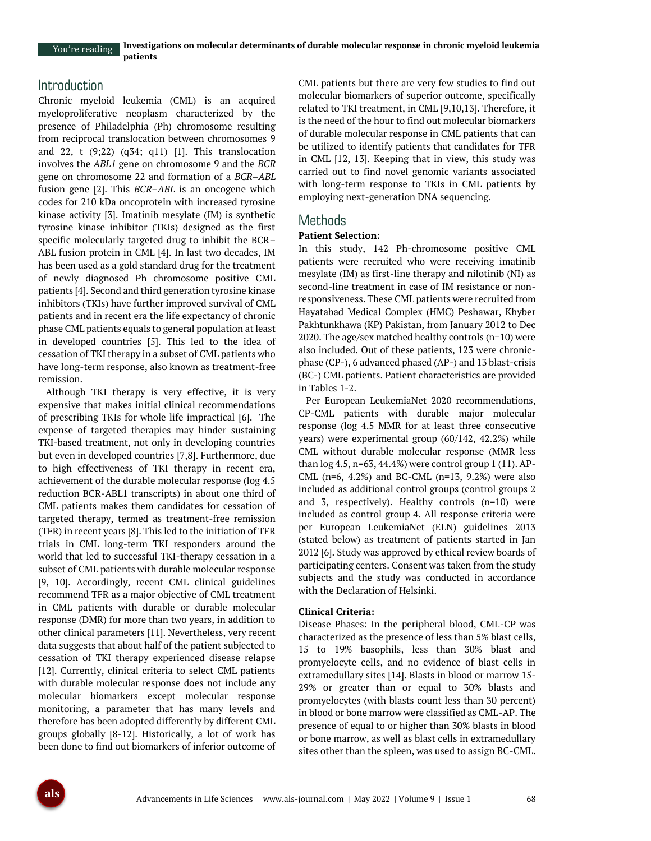You're reading

# Introduction

Chronic myeloid leukemia (CML) is an acquired myeloproliferative neoplasm characterized by the presence of Philadelphia (Ph) chromosome resulting from reciprocal translocation between chromosomes 9 and 22, t (9;22) (q34; q11) [1]. This translocation involves the *ABL1* gene on chromosome 9 and the *BCR*  gene on chromosome 22 and formation of a *BCR–ABL*  fusion gene [2]. This *BCR*–*ABL* is an oncogene which codes for 210 kDa oncoprotein with increased tyrosine kinase activity [3]. Imatinib mesylate (IM) is synthetic tyrosine kinase inhibitor (TKIs) designed as the first specific molecularly targeted drug to inhibit the BCR– ABL fusion protein in CML [4]. In last two decades, IM has been used as a gold standard drug for the treatment of newly diagnosed Ph chromosome positive CML patients [4]. Second and third generation tyrosine kinase inhibitors (TKIs) have further improved survival of CML patients and in recent era the life expectancy of chronic phase CML patients equals to general population at least in developed countries [5]. This led to the idea of cessation of TKI therapy in a subset of CML patients who have long-term response, also known as treatment-free remission.

Although TKI therapy is very effective, it is very expensive that makes initial clinical recommendations of prescribing TKIs for whole life impractical [6]. The expense of targeted therapies may hinder sustaining TKI-based treatment, not only in developing countries but even in developed countries [7,8]. Furthermore, due to high effectiveness of TKI therapy in recent era, achievement of the durable molecular response (log 4.5 reduction BCR-ABL1 transcripts) in about one third of CML patients makes them candidates for cessation of targeted therapy, termed as treatment-free remission (TFR) in recent years [8]. This led to the initiation of TFR trials in CML long-term TKI responders around the world that led to successful TKI-therapy cessation in a subset of CML patients with durable molecular response [9, 10]. Accordingly, recent CML clinical guidelines recommend TFR as a major objective of CML treatment in CML patients with durable or durable molecular response (DMR) for more than two years, in addition to other clinical parameters [11]. Nevertheless, very recent data suggests that about half of the patient subjected to cessation of TKI therapy experienced disease relapse [12]. Currently, clinical criteria to select CML patients with durable molecular response does not include any molecular biomarkers except molecular response monitoring, a parameter that has many levels and therefore has been adopted differently by different CML groups globally [8-12]. Historically, a lot of work has been done to find out biomarkers of inferior outcome of

CML patients but there are very few studies to find out molecular biomarkers of superior outcome, specifically related to TKI treatment, in CML [9,10,13]. Therefore, it is the need of the hour to find out molecular biomarkers of durable molecular response in CML patients that can be utilized to identify patients that candidates for TFR in CML [12, 13]. Keeping that in view, this study was carried out to find novel genomic variants associated with long-term response to TKIs in CML patients by employing next-generation DNA sequencing.

# Methods

# **Patient Selection:**

In this study, 142 Ph-chromosome positive CML patients were recruited who were receiving imatinib mesylate (IM) as first-line therapy and nilotinib (NI) as second-line treatment in case of IM resistance or nonresponsiveness. These CML patients were recruited from Hayatabad Medical Complex (HMC) Peshawar, Khyber Pakhtunkhawa (KP) Pakistan, from January 2012 to Dec 2020. The age/sex matched healthy controls (n=10) were also included. Out of these patients, 123 were chronicphase (CP-), 6 advanced phased (AP-) and 13 blast-crisis (BC-) CML patients. Patient characteristics are provided in Tables 1-2.

Per European LeukemiaNet 2020 recommendations, CP-CML patients with durable major molecular response (log 4.5 MMR for at least three consecutive years) were experimental group (60/142, 42.2%) while CML without durable molecular response (MMR less than  $log 4.5$ , n=63, 44.4%) were control group 1 (11). AP-CML ( $n=6$ , 4.2%) and BC-CML ( $n=13$ , 9.2%) were also included as additional control groups (control groups 2 and 3, respectively). Healthy controls (n=10) were included as control group 4. All response criteria were per European LeukemiaNet (ELN) guidelines 2013 (stated below) as treatment of patients started in Jan 2012 [6]. Study was approved by ethical review boards of participating centers. Consent was taken from the study subjects and the study was conducted in accordance with the Declaration of Helsinki.

# **Clinical Criteria:**

Disease Phases: In the peripheral blood, CML-CP was characterized as the presence of less than 5% blast cells, 15 to 19% basophils, less than 30% blast and promyelocyte cells, and no evidence of blast cells in extramedullary sites [14]. Blasts in blood or marrow 15- 29% or greater than or equal to 30% blasts and promyelocytes (with blasts count less than 30 percent) in blood or bone marrow were classified as CML-AP. The presence of equal to or higher than 30% blasts in blood or bone marrow, as well as blast cells in extramedullary sites other than the spleen, was used to assign BC-CML.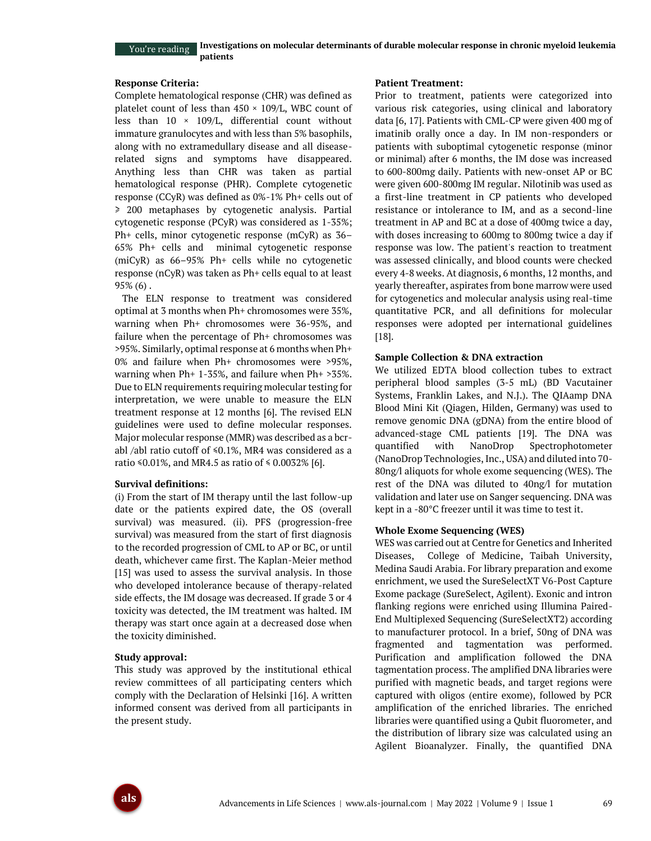## You're reading

**Investigations on molecular determinants of durable molecular response in chronic myeloid leukemia patients**

#### **Response Criteria:**

Complete hematological response (CHR) was defined as platelet count of less than  $450 \times 109$ /L, WBC count of less than  $10 \times 109$ /L, differential count without immature granulocytes and with less than 5% basophils, along with no extramedullary disease and all diseaserelated signs and symptoms have disappeared. Anything less than CHR was taken as partial hematological response (PHR). Complete cytogenetic response (CCyR) was defined as 0%-1% Ph+ cells out of ≥ 200 metaphases by cytogenetic analysis. Partial cytogenetic response (PCyR) was considered as 1-35%; Ph+ cells, minor cytogenetic response (mCyR) as 36– 65% Ph+ cells and minimal cytogenetic response (miCyR) as 66–95% Ph+ cells while no cytogenetic response (nCyR) was taken as Ph+ cells equal to at least 95% (6) .

The ELN response to treatment was considered optimal at 3 months when Ph+ chromosomes were 35%, warning when Ph+ chromosomes were 36-95%, and failure when the percentage of Ph+ chromosomes was >95%. Similarly, optimal response at 6 months when Ph+ 0% and failure when Ph+ chromosomes were >95%, warning when Ph+ 1-35%, and failure when Ph+ >35%. Due to ELN requirements requiring molecular testing for interpretation, we were unable to measure the ELN treatment response at 12 months [6]. The revised ELN guidelines were used to define molecular responses. Major molecular response (MMR) was described as a bcrabl /abl ratio cutoff of  $\leq 0.1\%$ , MR4 was considered as a ratio ≤0.01%, and MR4.5 as ratio of ≤ 0.0032% [6].

#### **Survival definitions:**

(i) From the start of IM therapy until the last follow-up date or the patients expired date, the OS (overall survival) was measured. (ii). PFS (progression-free survival) was measured from the start of first diagnosis to the recorded progression of CML to AP or BC, or until death, whichever came first. The Kaplan-Meier method [15] was used to assess the survival analysis. In those who developed intolerance because of therapy-related side effects, the IM dosage was decreased. If grade 3 or 4 toxicity was detected, the IM treatment was halted. IM therapy was start once again at a decreased dose when the toxicity diminished.

#### **Study approval:**

This study was approved by the institutional ethical review committees of all participating centers which comply with the Declaration of Helsinki [16]. A written informed consent was derived from all participants in the present study.

#### **Patient Treatment:**

Prior to treatment, patients were categorized into various risk categories, using clinical and laboratory data [6, 17]. Patients with CML-CP were given 400 mg of imatinib orally once a day. In IM non-responders or patients with suboptimal cytogenetic response (minor or minimal) after 6 months, the IM dose was increased to 600-800mg daily. Patients with new-onset AP or BC were given 600-800mg IM regular. Nilotinib was used as a first-line treatment in CP patients who developed resistance or intolerance to IM, and as a second-line treatment in AP and BC at a dose of 400mg twice a day, with doses increasing to 600mg to 800mg twice a day if response was low. The patient's reaction to treatment was assessed clinically, and blood counts were checked every 4-8 weeks. At diagnosis, 6 months, 12 months, and yearly thereafter, aspirates from bone marrow were used for cytogenetics and molecular analysis using real-time quantitative PCR, and all definitions for molecular responses were adopted per international guidelines [18].

#### **Sample Collection & DNA extraction**

We utilized EDTA blood collection tubes to extract peripheral blood samples (3-5 mL) (BD Vacutainer Systems, Franklin Lakes, and N.J.). The QIAamp DNA Blood Mini Kit (Qiagen, Hilden, Germany) was used to remove genomic DNA (gDNA) from the entire blood of advanced-stage CML patients [19]. The DNA was quantified with NanoDrop Spectrophotometer (NanoDrop Technologies, Inc., USA) and diluted into 70- 80ng/l aliquots for whole exome sequencing (WES). The rest of the DNA was diluted to 40ng/l for mutation validation and later use on Sanger sequencing. DNA was kept in a -80°C freezer until it was time to test it.

#### **Whole Exome Sequencing (WES)**

WES was carried out at Centre for Genetics and Inherited Diseases, College of Medicine, Taibah University, Medina Saudi Arabia. For library preparation and exome enrichment, we used the SureSelectXT V6-Post Capture Exome package (SureSelect, Agilent). Exonic and intron flanking regions were enriched using Illumina Paired-End Multiplexed Sequencing (SureSelectXT2) according to manufacturer protocol. In a brief, 50ng of DNA was fragmented and tagmentation was performed. Purification and amplification followed the DNA tagmentation process. The amplified DNA libraries were purified with magnetic beads, and target regions were captured with oligos (entire exome), followed by PCR amplification of the enriched libraries. The enriched libraries were quantified using a Qubit fluorometer, and the distribution of library size was calculated using an Agilent Bioanalyzer. Finally, the quantified DNA

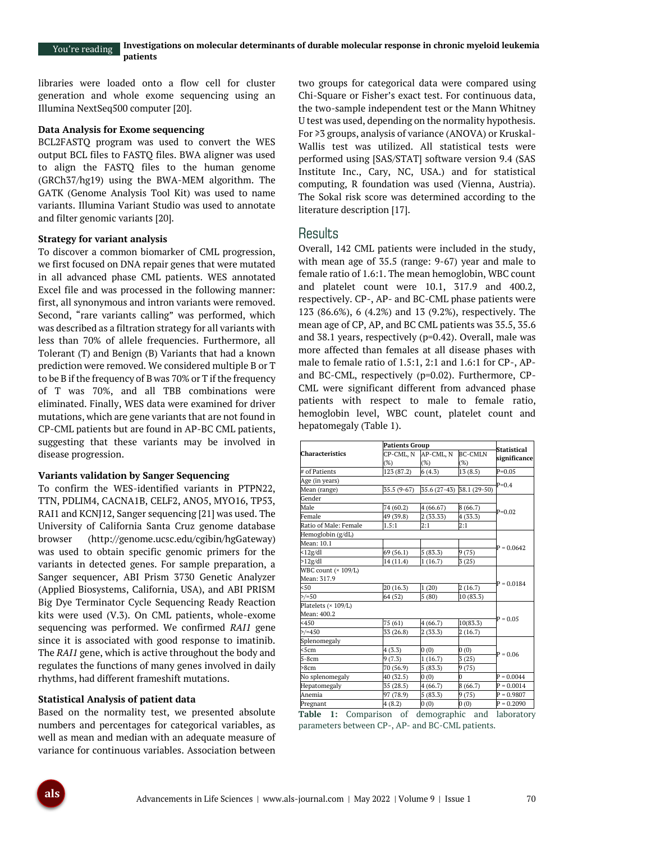libraries were loaded onto a flow cell for cluster generation and whole exome sequencing using an Illumina NextSeq500 computer [20].

#### **Data Analysis for Exome sequencing**

BCL2FASTQ program was used to convert the WES output BCL files to FASTQ files. BWA aligner was used to align the FASTQ files to the human genome (GRCh37/hg19) using the BWA-MEM algorithm. The GATK (Genome Analysis Tool Kit) was used to name variants. Illumina Variant Studio was used to annotate and filter genomic variants [20].

#### **Strategy for variant analysis**

To discover a common biomarker of CML progression, we first focused on DNA repair genes that were mutated in all advanced phase CML patients. WES annotated Excel file and was processed in the following manner: first, all synonymous and intron variants were removed. Second, "rare variants calling" was performed, which was described as a filtration strategy for all variants with less than 70% of allele frequencies. Furthermore, all Tolerant (T) and Benign (B) Variants that had a known prediction were removed. We considered multiple B or T to be B if the frequency of B was 70% or T if the frequency of T was 70%, and all TBB combinations were eliminated. Finally, WES data were examined for driver mutations, which are gene variants that are not found in CP-CML patients but are found in AP-BC CML patients, suggesting that these variants may be involved in disease progression.

#### **Variants validation by Sanger Sequencing**

To confirm the WES-identified variants in PTPN22, TTN, PDLIM4, CACNA1B, CELF2, ANO5, MYO16, TP53, RAI1 and KCNJ12, Sanger sequencing [21] was used. The University of California Santa Cruz genome database browser (http://genome.ucsc.edu/cgibin/hgGateway) was used to obtain specific genomic primers for the variants in detected genes. For sample preparation, a Sanger sequencer, ABI Prism 3730 Genetic Analyzer (Applied Biosystems, California, USA), and ABI PRISM Big Dye Terminator Cycle Sequencing Ready Reaction kits were used (V.3). On CML patients, whole-exome sequencing was performed. We confirmed *RAI1* gene since it is associated with good response to imatinib. The *RAI1* gene, which is active throughout the body and regulates the functions of many genes involved in daily rhythms, had different frameshift mutations.

#### **Statistical Analysis of patient data**

Based on the normality test, we presented absolute numbers and percentages for categorical variables, as well as mean and median with an adequate measure of variance for continuous variables. Association between

two groups for categorical data were compared using Chi-Square or Fisher's exact test. For continuous data, the two-sample independent test or the Mann Whitney U test was used, depending on the normality hypothesis. For ≥3 groups, analysis of variance (ANOVA) or Kruskal-Wallis test was utilized. All statistical tests were performed using [SAS/STAT] software version 9.4 (SAS Institute Inc., Cary, NC, USA.) and for statistical computing, R foundation was used (Vienna, Austria). The Sokal risk score was determined according to the literature description [17].

# **Results**

Overall, 142 CML patients were included in the study, with mean age of 35.5 (range: 9-67) year and male to female ratio of 1.6:1. The mean hemoglobin, WBC count and platelet count were 10.1, 317.9 and 400.2, respectively. CP-, AP- and BC-CML phase patients were 123 (86.6%), 6 (4.2%) and 13 (9.2%), respectively. The mean age of CP, AP, and BC CML patients was 35.5, 35.6 and 38.1 years, respectively (p=0.42). Overall, male was more affected than females at all disease phases with male to female ratio of 1.5:1, 2:1 and 1.6:1 for CP-, APand BC-CML, respectively (p=0.02). Furthermore, CP-CML were significant different from advanced phase patients with respect to male to female ratio, hemoglobin level, WBC count, platelet count and hepatomegaly (Table 1).

|                        | <b>Patients Group</b> | Statistical               |                |              |  |
|------------------------|-----------------------|---------------------------|----------------|--------------|--|
| <b>Characteristics</b> | CP-CML, N             | AP-CML, N                 | <b>BC-CMLN</b> | significance |  |
|                        | $(\%)$                | (%)                       | (%)            |              |  |
| # of Patients          | 123 (87.2)            | 6(4.3)                    | 13(8.5)        | $P=0.05$     |  |
| Age (in years)         |                       |                           |                |              |  |
| Mean (range)           | 35.5 (9-67)           | 35.6 (27-43) 38.1 (29-50) |                | $P=0.4$      |  |
| Gender                 |                       |                           |                |              |  |
| Male                   | 74 (60.2)             | 4(66.67)                  | 8(66.7)        | $P=0.02$     |  |
| Female                 | 49 (39.8)             | 2 (33.33)                 | 4(33.3)        |              |  |
| Ratio of Male: Female  | 1.5:1                 | 2:1                       | 2:1            |              |  |
| Hemoglobin (g/dL)      |                       |                           |                |              |  |
| Mean: 10.1             |                       |                           |                | $P = 0.0642$ |  |
| $<$ 12g/dl             | 69 (56.1)             | 5(83.3)                   | 9(75)          |              |  |
| >12g/dl                | 14 (11.4)             | 1(16.7)                   | 3(25)          |              |  |
| WBC count $(* 109/L)$  |                       |                           |                |              |  |
| Mean: 317.9            |                       |                           |                |              |  |
| 50                     | 20 (16.3)             | 1(20)                     | 2(16.7)        | $P = 0.0184$ |  |
| $\frac{5}{50}$         | 64 (52)               | 5(80)                     | 10 (83.3)      |              |  |
| Platelets (× 109/L)    |                       |                           |                |              |  |
| Mean: 400.2            |                       |                           |                |              |  |
| <450                   | 75 (61)               | 4(66.7)                   | 10(83.3)       | $P = 0.05$   |  |
| $>/-450$               | 33 (26.8)             | 2(33.3)                   | 2(16.7)        |              |  |
| Splenomegaly           |                       |                           |                |              |  |
| <5cm                   | 4(3.3)                | (0)                       | (0)            | $P = 0.06$   |  |
| 5-8cm                  | 9(7.3)                | 1(16.7)                   | 3(25)          |              |  |
| >8cm                   | 70 (56.9)             | 5(83.3)                   | 9(75)          |              |  |
| No splenomegaly        | 40 (32.5)             | (0)                       |                | $P = 0.0044$ |  |
| Hepatomegaly           | 35 (28.5)             | 4(66.7)                   | 8(66.7)        | $P = 0.0014$ |  |
| Anemia                 | 97 (78.9)             | 5(83.3)                   | 9(75)          | $P = 0.9807$ |  |
| Pregnant               | 4(8.2)                | (0)                       | (0)            | $P = 0.2090$ |  |

**Table 1:** Comparison of demographic and laboratory parameters between CP-, AP- and BC-CML patients.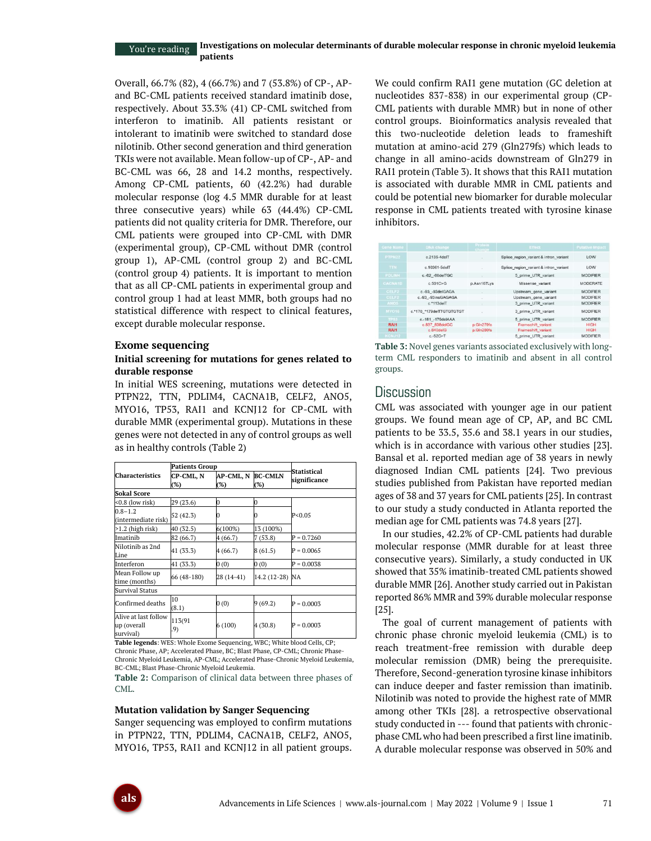Overall, 66.7% (82), 4 (66.7%) and 7 (53.8%) of CP-, APand BC-CML patients received standard imatinib dose, respectively. About 33.3% (41) CP-CML switched from interferon to imatinib. All patients resistant or intolerant to imatinib were switched to standard dose nilotinib. Other second generation and third generation TKIs were not available. Mean follow-up of CP-, AP- and BC-CML was 66, 28 and 14.2 months, respectively. Among CP-CML patients, 60 (42.2%) had durable molecular response (log 4.5 MMR durable for at least three consecutive years) while 63 (44.4%) CP-CML patients did not quality criteria for DMR. Therefore, our CML patients were grouped into CP-CML with DMR (experimental group), CP-CML without DMR (control group 1), AP-CML (control group 2) and BC-CML (control group 4) patients. It is important to mention that as all CP-CML patients in experimental group and control group 1 had at least MMR, both groups had no statistical difference with respect to clinical features, except durable molecular response.

#### **Exome sequencing**

### **Initial screening for mutations for genes related to durable response**

In initial WES screening, mutations were detected in PTPN22, TTN, PDLIM4, CACNA1B, CELF2, ANO5, MYO16, TP53, RAI1 and KCNJ12 for CP-CML with durable MMR (experimental group). Mutations in these genes were not detected in any of control groups as well as in healthy controls (Table 2)

|                                                  | <b>Patients Group</b> |                  |                          |                             |  |
|--------------------------------------------------|-----------------------|------------------|--------------------------|-----------------------------|--|
| <b>Characteristics</b>                           | CP-CML, N<br>(%)      | AP-CML, N<br>(%) | <b>BC-CMLN</b><br>$(\%)$ | Statistical<br>significance |  |
| <b>Sokal Score</b>                               |                       |                  |                          |                             |  |
| <0.8 (low risk)                                  | 29 (23.6)             | 0                | 0                        |                             |  |
| $0.8 - 1.2$<br>(intermediate risk)               | 52 (42.3)             |                  |                          | P < 0.05                    |  |
| $>1.2$ (high risk)                               | 40 (32.5)             | $6(100\%)$       | 13 (100%)                |                             |  |
| Imatinih                                         | 82 (66.7)             | 4 (66.7)         | 7(53.8)                  | $P = 0.7260$                |  |
| Nilotinib as 2nd<br>Line                         | 41 (33.3)             | 4 (66.7)         | 8(61.5)                  | $P = 0.0065$                |  |
| Interferon                                       | 41 (33.3)             | 0(0)             | 0(0)                     | $P = 0.0038$                |  |
| Mean Follow up<br>time (months)                  | 66 (48-180)           | 28 (14-41)       | 14.2 (12-28) NA          |                             |  |
| <b>Survival Status</b>                           |                       |                  |                          |                             |  |
| Confirmed deaths                                 | 10<br>(8.1)           | 0(0)             | 9(69.2)                  | $P = 0.0003$                |  |
| Alive at last follow<br>up (overall<br>survival) | 113(91<br>.9)         | 6(100)           | 4 (30.8)                 | $P = 0.0003$                |  |

**Table legends**: WES: Whole Exome Sequencing, WBC; White blood Cells, CP; Chronic Phase, AP; Accelerated Phase, BC; Blast Phase, CP-CML; Chronic Phase-Chronic Myeloid Leukemia, AP-CML; Accelerated Phase-Chronic Myeloid Leukemia, BC-CML; Blast Phase-Chronic Myeloid Leukemia.

**Table 2:** Comparison of clinical data between three phases of CML.

#### **Mutation validation by Sanger Sequencing**

Sanger sequencing was employed to confirm mutations in PTPN22, TTN, PDLIM4, CACNA1B, CELF2, ANO5, MYO16, TP53, RAI1 and KCNJ12 in all patient groups. We could confirm RAI1 gene mutation (GC deletion at nucleotides 837-838) in our experimental group (CP-CML patients with durable MMR) but in none of other control groups. Bioinformatics analysis revealed that this two-nucleotide deletion leads to frameshift mutation at amino-acid 279 (Gln279fs) which leads to change in all amino-acids downstream of Gln279 in RAI1 protein (Table 3). It shows that this RAI1 mutation is associated with durable MMR in CML patients and could be potential new biomarker for durable molecular response in CML patients treated with tyrosine kinase inhibitors.

| Gene Name         | <b>DNA</b> change        | Protein<br>change | Effect                                 | <b>Putative Impact</b> |
|-------------------|--------------------------|-------------------|----------------------------------------|------------------------|
| <b>PTPN22</b>     | $c$ 2135-4deIT           |                   | Splice region variant & intron variant | LOW                    |
| <b>TTN</b>        | c.10361-5delT            |                   | Splice_region_variant & intron_variant | LOW                    |
| <b>PDLIM4</b>     | c.-62 -60delTGC          |                   | 5 prime UTR variant                    | <b>MODIFIER</b>        |
| <b>CACNA1B</b>    | c.501C > G               | p.Asn167Lys       | Missense variant                       | <b>MODERATE</b>        |
| CELF <sub>2</sub> | c.-93 -93delGAGA         |                   | Upstream gene variant                  | <b>MODIFIER</b>        |
| CELF <sub>2</sub> | c.-93 -93insGAGAGA       |                   | Upstream gene variant                  | <b>MODIFIER</b>        |
| ANO <sub>5</sub>  | $c.*113d$ e $\Pi$        |                   | 3 prime UTR variant                    | <b>MODIFIER</b>        |
| MYO16             | c.*170 *179delTTGTGTGTGT | ×                 | 3 prime UTR variant                    | <b>MODIFIER</b>        |
| TP <sub>53</sub>  | c.-181 -179deIAAA        | $\sim$            | 5 prime UTR variant                    | <b>MODIFIER</b>        |
| RAI1              | c.837 838delGC           | p.Gln279fs        | Frameshift variant                     | <b>HIGH</b>            |
| <b>RAI1</b>       | $c.840$ del $G$          | p.Gln280fs        | Frameshift variant                     | <b>HIGH</b>            |
| <b>KCN312</b>     | $c.-52C>T$               | ×                 | 5 prime UTR variant                    | <b>MODIFIER</b>        |

**Table 3:** Novel genes variants associated exclusively with longterm CML responders to imatinib and absent in all control groups.

# **Discussion**

CML was associated with younger age in our patient groups. We found mean age of CP, AP, and BC CML patients to be 33.5, 35.6 and 38.1 years in our studies, which is in accordance with various other studies [23]. Bansal et al. reported median age of 38 years in newly diagnosed Indian CML patients [24]. Two previous studies published from Pakistan have reported median ages of 38 and 37 years for CML patients [25]. In contrast to our study a study conducted in Atlanta reported the median age for CML patients was 74.8 years [27].

In our studies, 42.2% of CP-CML patients had durable molecular response (MMR durable for at least three consecutive years). Similarly, a study conducted in UK showed that 35% imatinib-treated CML patients showed durable MMR [26]. Another study carried out in Pakistan reported 86% MMR and 39% durable molecular response [25].

The goal of current management of patients with chronic phase chronic myeloid leukemia (CML) is to reach treatment-free remission with durable deep molecular remission (DMR) being the prerequisite. Therefore, Second-generation tyrosine kinase inhibitors can induce deeper and faster remission than imatinib. Nilotinib was noted to provide the highest rate of MMR among other TKIs [28]. a retrospective observational study conducted in --- found that patients with chronicphase CML who had been prescribed a first line imatinib. A durable molecular response was observed in 50% and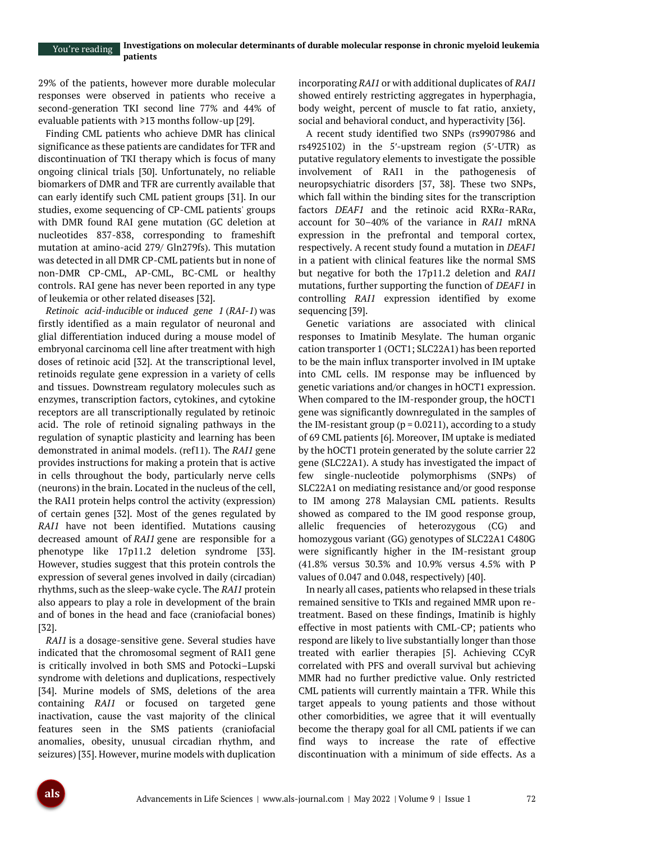29% of the patients, however more durable molecular responses were observed in patients who receive a second-generation TKI second line 77% and 44% of evaluable patients with ≥13 months follow-up [29].

Finding CML patients who achieve DMR has clinical significance as these patients are candidates for TFR and discontinuation of TKI therapy which is focus of many ongoing clinical trials [30]. Unfortunately, no reliable biomarkers of DMR and TFR are currently available that can early identify such CML patient groups [31]. In our studies, exome sequencing of CP-CML patients' groups with DMR found RAI gene mutation (GC deletion at nucleotides 837-838, corresponding to frameshift mutation at amino-acid 279/ Gln279fs). This mutation was detected in all DMR CP-CML patients but in none of non-DMR CP-CML, AP-CML, BC-CML or healthy controls. RAI gene has never been reported in any type of leukemia or other related diseases [32].

*Retinoic acid-inducible* or *induced gene 1* (*RAI-1*) was firstly identified as a main regulator of neuronal and glial differentiation induced during a mouse model of embryonal carcinoma cell line after treatment with high doses of retinoic acid [32]. At the transcriptional level, retinoids regulate gene expression in a variety of cells and tissues. Downstream regulatory molecules such as enzymes, transcription factors, cytokines, and cytokine receptors are all transcriptionally regulated by retinoic acid. The role of retinoid signaling pathways in the regulation of synaptic plasticity and learning has been demonstrated in animal models. (ref11). The *RAI1* gene provides instructions for making a protein that is active in cells throughout the body, particularly nerve cells (neurons) in the brain. Located in the nucleus of the cell, the RAI1 protein helps control the activity (expression) of certain genes [32]. Most of the genes regulated by *RAI1* have not been identified. Mutations causing decreased amount of *RAI1* gene are responsible for a phenotype like 17p11.2 deletion syndrome [33]. However, studies suggest that this protein controls the expression of several genes involved in daily (circadian) rhythms, such as the sleep-wake cycle. The *RAI1* protein also appears to play a role in development of the brain and of bones in the head and face (craniofacial bones) [32].

*RAI1* is a dosage-sensitive gene. Several studies have indicated that the chromosomal segment of RAI1 gene is critically involved in both SMS and Potocki–Lupski syndrome with deletions and duplications, respectively [34]. Murine models of SMS, deletions of the area containing *RAI1* or focused on targeted gene inactivation, cause the vast majority of the clinical features seen in the SMS patients (craniofacial anomalies, obesity, unusual circadian rhythm, and seizures) [35]. However, murine models with duplication

incorporating *RAI1* or with additional duplicates of *RAI1* showed entirely restricting aggregates in hyperphagia, body weight, percent of muscle to fat ratio, anxiety, social and behavioral conduct, and hyperactivity [36].

A recent study identified two SNPs (rs9907986 and rs4925102) in the 5′-upstream region (5′-UTR) as putative regulatory elements to investigate the possible involvement of RAI1 in the pathogenesis of neuropsychiatric disorders [37, 38]. These two SNPs, which fall within the binding sites for the transcription factors *DEAF1* and the retinoic acid RXRα-RARα, account for 30–40% of the variance in *RAI1* mRNA expression in the prefrontal and temporal cortex, respectively. A recent study found a mutation in *DEAF1* in a patient with clinical features like the normal SMS but negative for both the 17p11.2 deletion and *RAI1* mutations, further supporting the function of *DEAF1* in controlling *RAI1* expression identified by exome sequencing [39].

Genetic variations are associated with clinical responses to Imatinib Mesylate. The human organic cation transporter 1 (OCT1; SLC22A1) has been reported to be the main influx transporter involved in IM uptake into CML cells. IM response may be influenced by genetic variations and/or changes in hOCT1 expression. When compared to the IM-responder group, the hOCT1 gene was significantly downregulated in the samples of the IM-resistant group ( $p = 0.0211$ ), according to a study of 69 CML patients [6]. Moreover, IM uptake is mediated by the hOCT1 protein generated by the solute carrier 22 gene (SLC22A1). A study has investigated the impact of few single-nucleotide polymorphisms (SNPs) of SLC22A1 on mediating resistance and/or good response to IM among 278 Malaysian CML patients. Results showed as compared to the IM good response group, allelic frequencies of heterozygous (CG) and homozygous variant (GG) genotypes of SLC22A1 C480G were significantly higher in the IM-resistant group (41.8% versus 30.3% and 10.9% versus 4.5% with P values of 0.047 and 0.048, respectively) [40].

In nearly all cases, patients who relapsed in these trials remained sensitive to TKIs and regained MMR upon retreatment. Based on these findings, Imatinib is highly effective in most patients with CML-CP; patients who respond are likely to live substantially longer than those treated with earlier therapies [5]. Achieving CCyR correlated with PFS and overall survival but achieving MMR had no further predictive value. Only restricted CML patients will currently maintain a TFR. While this target appeals to young patients and those without other comorbidities, we agree that it will eventually become the therapy goal for all CML patients if we can find ways to increase the rate of effective discontinuation with a minimum of side effects. As a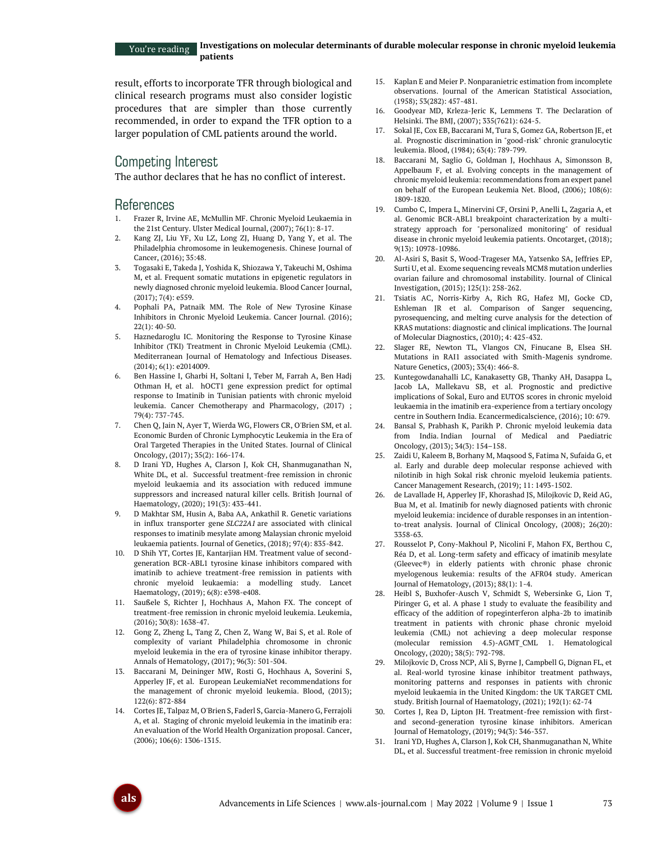result, efforts to incorporate TFR through biological and clinical research programs must also consider logistic procedures that are simpler than those currently recommended, in order to expand the TFR option to a larger population of CML patients around the world.

# Competing Interest

The author declares that he has no conflict of interest.

# References

- 1. Frazer R, Irvine AE, McMullin MF. Chronic Myeloid Leukaemia in the 21st Century. Ulster Medical Journal, (2007); 76(1): 8-17.
- 2. Kang ZJ, Liu YF, Xu LZ, Long ZJ, Huang D, Yang Y, et al. The Philadelphia chromosome in leukemogenesis. Chinese Journal of Cancer, (2016); 35:48.
- 3. Togasaki E, Takeda J, Yoshida K, Shiozawa Y, Takeuchi M, Oshima M, et al. Frequent somatic mutations in epigenetic regulators in newly diagnosed chronic myeloid leukemia. Blood Cancer Journal, (2017); 7(4): e559.
- 4. Pophali PA, Patnaik MM. The Role of New Tyrosine Kinase Inhibitors in Chronic Myeloid Leukemia. Cancer Journal. (2016); 22(1): 40-50.
- 5. Haznedaroglu IC. Monitoring the Response to Tyrosine Kinase Inhibitor (TKI) Treatment in Chronic Myeloid Leukemia (CML). Mediterranean Journal of Hematology and Infectious Diseases. (2014); 6(1): e2014009.
- 6. Ben Hassine I, Gharbi H, Soltani I, Teber M, Farrah A, Ben Hadj Othman H, et al. hOCT1 gene expression predict for optimal response to Imatinib in Tunisian patients with chronic myeloid leukemia. Cancer Chemotherapy and Pharmacology, (2017) ; 79(4): 737-745.
- 7. Chen Q, Jain N, Ayer T, Wierda WG, Flowers CR, O'Brien SM, et al. Economic Burden of Chronic Lymphocytic Leukemia in the Era of Oral Targeted Therapies in the United States. Journal of Clinical Oncology, (2017); 35(2): 166-174.
- 8. D Irani YD, Hughes A, Clarson J, Kok CH, Shanmuganathan N, White DL, et al. Successful treatment-free remission in chronic myeloid leukaemia and its association with reduced immune suppressors and increased natural killer cells. British Journal of Haematology, (2020); 191(3): 433-441.
- 9. D Makhtar SM, Husin A, Baba AA, Ankathil R. Genetic variations in influx transporter gene *SLC22A1* are associated with clinical responses to imatinib mesylate among Malaysian chronic myeloid leukaemia patients. Journal of Genetics, (2018); 97(4): 835-842.
- 10. D Shih YT, Cortes JE, Kantarjian HM. Treatment value of secondgeneration BCR-ABL1 tyrosine kinase inhibitors compared with imatinib to achieve treatment-free remission in patients with chronic myeloid leukaemia: a modelling study. Lancet Haematology, (2019); 6(8): e398-e408.
- 11. Saußele S, Richter J, Hochhaus A, Mahon FX. The concept of treatment-free remission in chronic myeloid leukemia. Leukemia, (2016); 30(8): 1638-47.
- 12. Gong Z, Zheng L, Tang Z, Chen Z, Wang W, Bai S, et al. Role of complexity of variant Philadelphia chromosome in chronic myeloid leukemia in the era of tyrosine kinase inhibitor therapy. Annals of Hematology, (2017); 96(3): 501-504.
- 13. Baccarani M, Deininger MW, Rosti G, Hochhaus A, Soverini S, Apperley JF, et al. European LeukemiaNet recommendations for the management of chronic myeloid leukemia. Blood, (2013); 122(6): 872-884
- 14. Cortes JE, Talpaz M, O'Brien S, Faderl S, Garcia-Manero G, Ferrajoli A, et al. Staging of chronic myeloid leukemia in the imatinib era: An evaluation of the World Health Organization proposal. Cancer, (2006); 106(6): 1306-1315.
- 15. Kaplan E and Meier P. Nonparanietric estimation from incomplete observations. Journal of the American Statistical Association, (1958); 53(282): 457-481.
- 16. Goodyear MD, Krleza-Jeric K, Lemmens T. The Declaration of Helsinki. The BMJ, (2007); 335(7621): 624-5.
- 17. Sokal JE, Cox EB, Baccarani M, Tura S, Gomez GA, Robertson JE, et al. Prognostic discrimination in "good-risk" chronic granulocytic leukemia. Blood, (1984); 63(4): 789-799.
- 18. Baccarani M, Saglio G, Goldman J, Hochhaus A, Simonsson B, Appelbaum F, et al. Evolving concepts in the management of chronic myeloid leukemia: recommendations from an expert panel on behalf of the European Leukemia Net. Blood, (2006); 108(6): 1809-1820.
- 19. Cumbo C, Impera L, Minervini CF, Orsini P, Anelli L, Zagaria A, et al. Genomic BCR-ABL1 breakpoint characterization by a multistrategy approach for "personalized monitoring" of residual disease in chronic myeloid leukemia patients. Oncotarget, (2018); 9(13): 10978-10986.
- 20. Al-Asiri S, Basit S, Wood-Trageser MA, Yatsenko SA, Jeffries EP, Surti U, et al. Exome sequencing reveals MCM8 mutation underlies ovarian failure and chromosomal instability. Journal of Clinical Investigation, (2015); 125(1): 258-262.
- 21. Tsiatis AC, Norris-Kirby A, Rich RG, Hafez MJ, Gocke CD, Eshleman JR et al. Comparison of Sanger sequencing, pyrosequencing, and melting curve analysis for the detection of KRAS mutations: diagnostic and clinical implications. The Journal of Molecular Diagnostics, (2010); 4: 425-432.
- 22. Slager RE, Newton TL, Vlangos CN, Finucane B, Elsea SH. Mutations in RAI1 associated with Smith-Magenis syndrome. Nature Genetics, (2003); 33(4): 466-8.
- 23. Kuntegowdanahalli LC, Kanakasetty GB, Thanky AH, Dasappa L, Jacob LA, Mallekavu SB, et al. Prognostic and predictive implications of Sokal, Euro and EUTOS scores in chronic myeloid leukaemia in the imatinib era-experience from a tertiary oncology centre in Southern India. Ecancermedicalscience, (2016); 10: 679.
- 24. Bansal S, Prabhash K, Parikh P. Chronic myeloid leukemia data from India. Indian Journal of Medical and Paediatric Oncology, (2013); 34(3): 154–158.
- 25. Zaidi U, Kaleem B, Borhany M, Maqsood S, Fatima N, Sufaida G, et al. Early and durable deep molecular response achieved with nilotinib in high Sokal risk chronic myeloid leukemia patients. Cancer Management Research, (2019); 11: 1493-1502.
- 26. de Lavallade H, Apperley JF, Khorashad JS, Milojkovic D, Reid AG, Bua M, et al. Imatinib for newly diagnosed patients with chronic myeloid leukemia: incidence of durable responses in an intentionto-treat analysis. Journal of Clinical Oncology, (2008); 26(20): 3358-63.
- 27. Rousselot P, Cony-Makhoul P, Nicolini F, Mahon FX, Berthou C, Réa D, et al. Long-term safety and efficacy of imatinib mesylate (Gleevec®) in elderly patients with chronic phase chronic myelogenous leukemia: results of the AFR04 study. American Journal of Hematology, (2013); 88(1): 1-4.
- 28. Heibl S, Buxhofer-Ausch V, Schmidt S, Webersinke G, Lion T, Piringer G, et al. A phase 1 study to evaluate the feasibility and efficacy of the addition of ropeginterferon alpha-2b to imatinib treatment in patients with chronic phase chronic myeloid leukemia (CML) not achieving a deep molecular response (molecular remission 4.5)-AGMT\_CML 1. Hematological Oncology, (2020); 38(5): 792-798.
- 29. Milojkovic D, Cross NCP, Ali S, Byrne J, Campbell G, Dignan FL, et al. Real-world tyrosine kinase inhibitor treatment pathways, monitoring patterns and responses in patients with chronic myeloid leukaemia in the United Kingdom: the UK TARGET CML study. British Journal of Haematology, (2021); 192(1): 62-74
- Cortes J, Rea D, Lipton JH. Treatment-free remission with firstand second-generation tyrosine kinase inhibitors. American Journal of Hematology, (2019); 94(3): 346-357.
- 31. Irani YD, Hughes A, Clarson J, Kok CH, Shanmuganathan N, White DL, et al. Successful treatment-free remission in chronic myeloid